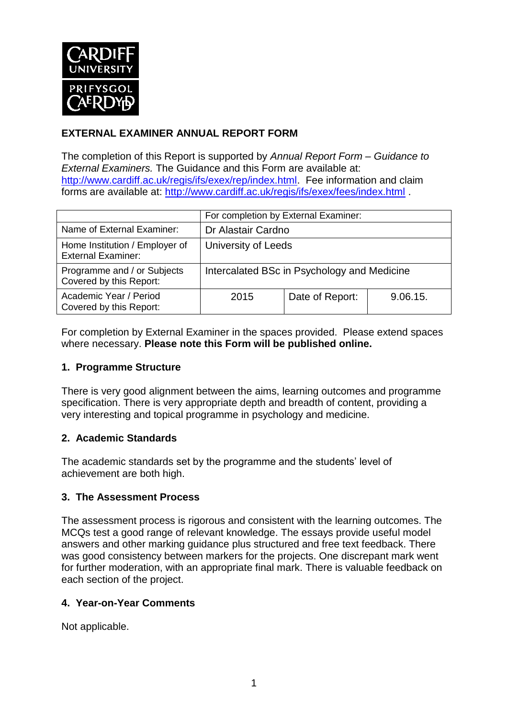

# **EXTERNAL EXAMINER ANNUAL REPORT FORM**

The completion of this Report is supported by *Annual Report Form – Guidance to External Examiners.* The Guidance and this Form are available at: [http://www.cardiff.ac.uk/regis/ifs/exex/rep/index.html.](http://www.cardiff.ac.uk/regis/ifs/exex/rep/index.html) Fee information and claim forms are available at:<http://www.cardiff.ac.uk/regis/ifs/exex/fees/index.html> .

|                                                             | For completion by External Examiner:        |                 |          |  |
|-------------------------------------------------------------|---------------------------------------------|-----------------|----------|--|
| Name of External Examiner:                                  | Dr Alastair Cardno                          |                 |          |  |
| Home Institution / Employer of<br><b>External Examiner:</b> | University of Leeds                         |                 |          |  |
| Programme and / or Subjects<br>Covered by this Report:      | Intercalated BSc in Psychology and Medicine |                 |          |  |
| Academic Year / Period<br>Covered by this Report:           | 2015                                        | Date of Report: | 9.06.15. |  |

For completion by External Examiner in the spaces provided. Please extend spaces where necessary. **Please note this Form will be published online.**

#### **1. Programme Structure**

There is very good alignment between the aims, learning outcomes and programme specification. There is very appropriate depth and breadth of content, providing a very interesting and topical programme in psychology and medicine.

## **2. Academic Standards**

The academic standards set by the programme and the students' level of achievement are both high.

## **3. The Assessment Process**

The assessment process is rigorous and consistent with the learning outcomes. The MCQs test a good range of relevant knowledge. The essays provide useful model answers and other marking guidance plus structured and free text feedback. There was good consistency between markers for the projects. One discrepant mark went for further moderation, with an appropriate final mark. There is valuable feedback on each section of the project.

#### **4. Year-on-Year Comments**

Not applicable.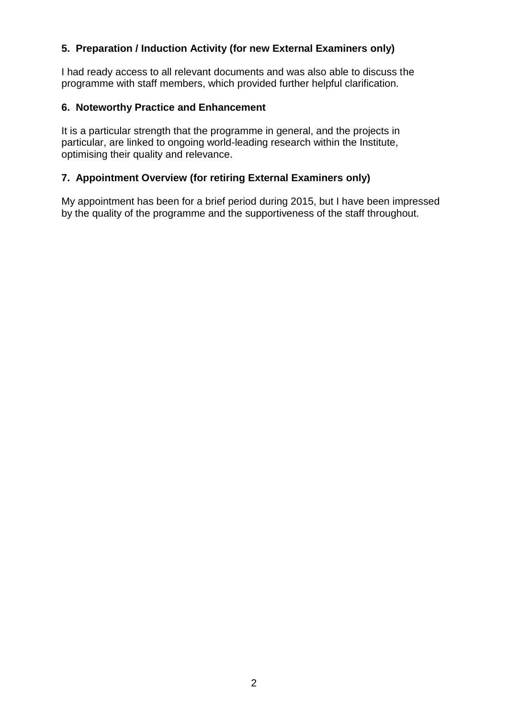## **5. Preparation / Induction Activity (for new External Examiners only)**

I had ready access to all relevant documents and was also able to discuss the programme with staff members, which provided further helpful clarification.

#### **6. Noteworthy Practice and Enhancement**

It is a particular strength that the programme in general, and the projects in particular, are linked to ongoing world-leading research within the Institute, optimising their quality and relevance.

### **7. Appointment Overview (for retiring External Examiners only)**

My appointment has been for a brief period during 2015, but I have been impressed by the quality of the programme and the supportiveness of the staff throughout.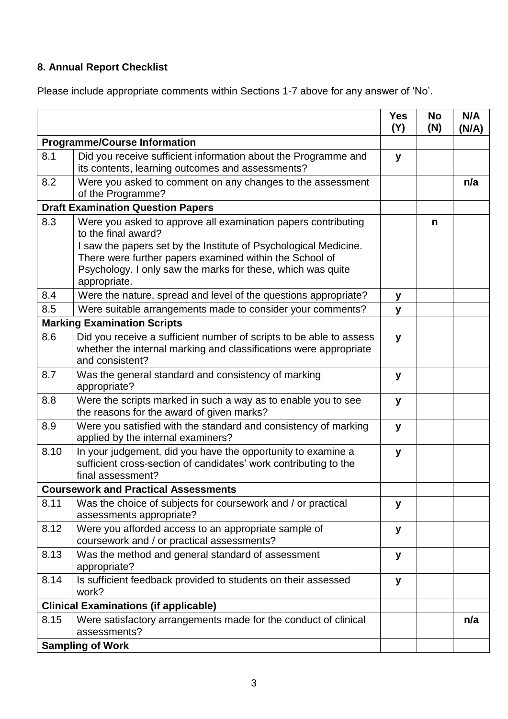# **8. Annual Report Checklist**

Please include appropriate comments within Sections 1-7 above for any answer of 'No'.

|                                              |                                                                                                                                                                                                                                                                                                    | <b>Yes</b><br>(Y) | <b>No</b><br>(N) | N/A<br>(N/A) |
|----------------------------------------------|----------------------------------------------------------------------------------------------------------------------------------------------------------------------------------------------------------------------------------------------------------------------------------------------------|-------------------|------------------|--------------|
| <b>Programme/Course Information</b>          |                                                                                                                                                                                                                                                                                                    |                   |                  |              |
| 8.1                                          | Did you receive sufficient information about the Programme and<br>its contents, learning outcomes and assessments?                                                                                                                                                                                 | y                 |                  |              |
| 8.2                                          | Were you asked to comment on any changes to the assessment<br>of the Programme?                                                                                                                                                                                                                    |                   |                  | n/a          |
| <b>Draft Examination Question Papers</b>     |                                                                                                                                                                                                                                                                                                    |                   |                  |              |
| 8.3                                          | Were you asked to approve all examination papers contributing<br>to the final award?<br>I saw the papers set by the Institute of Psychological Medicine.<br>There were further papers examined within the School of<br>Psychology. I only saw the marks for these, which was quite<br>appropriate. |                   | n                |              |
| 8.4                                          | Were the nature, spread and level of the questions appropriate?                                                                                                                                                                                                                                    | у                 |                  |              |
| 8.5                                          | Were suitable arrangements made to consider your comments?                                                                                                                                                                                                                                         | y                 |                  |              |
|                                              | <b>Marking Examination Scripts</b>                                                                                                                                                                                                                                                                 |                   |                  |              |
| 8.6                                          | Did you receive a sufficient number of scripts to be able to assess<br>whether the internal marking and classifications were appropriate<br>and consistent?                                                                                                                                        | y                 |                  |              |
| 8.7                                          | Was the general standard and consistency of marking<br>appropriate?                                                                                                                                                                                                                                | y                 |                  |              |
| 8.8                                          | Were the scripts marked in such a way as to enable you to see<br>the reasons for the award of given marks?                                                                                                                                                                                         | y                 |                  |              |
| 8.9                                          | Were you satisfied with the standard and consistency of marking<br>applied by the internal examiners?                                                                                                                                                                                              | y                 |                  |              |
| 8.10                                         | In your judgement, did you have the opportunity to examine a<br>sufficient cross-section of candidates' work contributing to the<br>final assessment?                                                                                                                                              | y                 |                  |              |
|                                              | <b>Coursework and Practical Assessments</b>                                                                                                                                                                                                                                                        |                   |                  |              |
| 8.11                                         | Was the choice of subjects for coursework and / or practical<br>assessments appropriate?                                                                                                                                                                                                           | y                 |                  |              |
| 8.12                                         | Were you afforded access to an appropriate sample of<br>coursework and / or practical assessments?                                                                                                                                                                                                 | У                 |                  |              |
| 8.13                                         | Was the method and general standard of assessment<br>appropriate?                                                                                                                                                                                                                                  | y                 |                  |              |
| 8.14                                         | Is sufficient feedback provided to students on their assessed<br>work?                                                                                                                                                                                                                             | y                 |                  |              |
| <b>Clinical Examinations (if applicable)</b> |                                                                                                                                                                                                                                                                                                    |                   |                  |              |
| 8.15                                         | Were satisfactory arrangements made for the conduct of clinical<br>assessments?                                                                                                                                                                                                                    |                   |                  | n/a          |
| <b>Sampling of Work</b>                      |                                                                                                                                                                                                                                                                                                    |                   |                  |              |